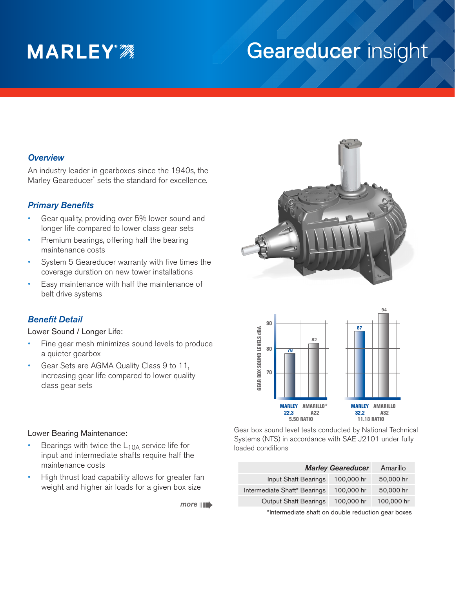# **MARLEY**<sup>2</sup>

# Geareducer insight

### *Overview*

An industry leader in gearboxes since the 1940s, the Marley Geareducer® sets the standard for excellence.

# *Primary Benefits*

- Gear quality, providing over 5% lower sound and longer life compared to lower class gear sets
- Premium bearings, offering half the bearing maintenance costs
- System 5 Geareducer warranty with five times the coverage duration on new tower installations
- Easy maintenance with half the maintenance of belt drive systems

### *Benefit Detail*

Lower Sound / Longer Life:

- Fine gear mesh minimizes sound levels to produce a quieter gearbox
- Gear Sets are AGMA Quality Class 9 to 11, increasing gear life compared to lower quality class gear sets





#### Lower Bearing Maintenance:

- Bearings with twice the  $L_{10A}$  service life for input and intermediate shafts require half the maintenance costs
- High thrust load capability allows for greater fan weight and higher air loads for a given box size

*more*

Gear box sound level tests conducted by National Technical Systems (NTS) in accordance with SAE J2101 under fully loaded conditions

| <b>Marley Geareducer</b>     |            | Amarillo   |
|------------------------------|------------|------------|
| Input Shaft Bearings         | 100,000 hr | 50,000 hr  |
| Intermediate Shaft* Bearings | 100,000 hr | 50,000 hr  |
| <b>Output Shaft Bearings</b> | 100,000 hr | 100,000 hr |
|                              |            |            |

\*Intermediate shaft on double reduction gear boxes